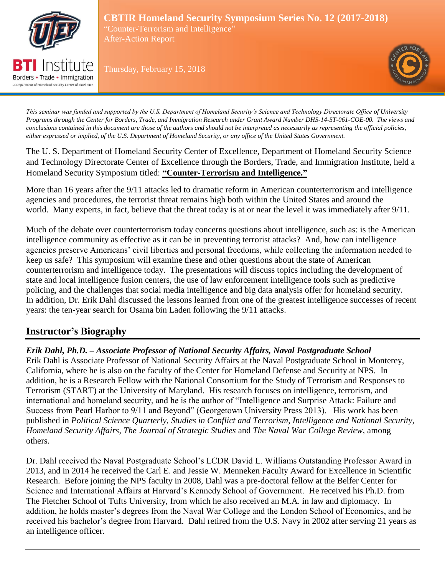

Borders • Trade • Immigration A Department of Homeland Security Center of Excellence

**CBTIR Homeland Security Symposium Series No. 12 (2017-2018)** "Counter-Terrorism and Intelligence" After-Action Report

Thursday, February 15, 2018



*This seminar was funded and supported by the U.S. Department of Homeland Security's Science and Technology Directorate Office of University Programs through the Center for Borders, Trade, and Immigration Research under Grant Award Number DHS-14-ST-061-COE-00. The views and conclusions contained in this document are those of the authors and should not be interpreted as necessarily as representing the official policies, either expressed or implied, of the U.S. Department of Homeland Security, or any office of the United States Government.*

The U. S. Department of Homeland Security Center of Excellence, Department of Homeland Security Science and Technology Directorate Center of Excellence through the Borders, Trade, and Immigration Institute, held a Homeland Security Symposium titled: **"Counter-Terrorism and Intelligence."** 

More than 16 years after the 9/11 attacks led to dramatic reform in American counterterrorism and intelligence agencies and procedures, the terrorist threat remains high both within the United States and around the world. Many experts, in fact, believe that the threat today is at or near the level it was immediately after 9/11.

Much of the debate over counterterrorism today concerns questions about intelligence, such as: is the American intelligence community as effective as it can be in preventing terrorist attacks? And, how can intelligence agencies preserve Americans' civil liberties and personal freedoms, while collecting the information needed to keep us safe? This symposium will examine these and other questions about the state of American counterterrorism and intelligence today. The presentations will discuss topics including the development of state and local intelligence fusion centers, the use of law enforcement intelligence tools such as predictive policing, and the challenges that social media intelligence and big data analysis offer for homeland security. In addition, Dr. Erik Dahl discussed the lessons learned from one of the greatest intelligence successes of recent years: the ten-year search for Osama bin Laden following the 9/11 attacks.

# **Instructor's Biography**

*Erik Dahl, Ph.D. – Associate Professor of National Security Affairs, Naval Postgraduate School* Erik Dahl is Associate Professor of National Security Affairs at the Naval Postgraduate School in Monterey, California, where he is also on the faculty of the Center for Homeland Defense and Security at NPS. In addition, he is a Research Fellow with the National Consortium for the Study of Terrorism and Responses to Terrorism (START) at the University of Maryland. His research focuses on intelligence, terrorism, and international and homeland security, and he is the author of "Intelligence and Surprise Attack: Failure and Success from Pearl Harbor to 9/11 and Beyond" (Georgetown University Press 2013). His work has been published in *Political Science Quarterly, Studies in Conflict and Terrorism*, *Intelligence and National Security*, *Homeland Security Affairs*, *The Journal of Strategic Studies* and *The Naval War College Review,* among others.

Dr. Dahl received the Naval Postgraduate School's LCDR David L. Williams Outstanding Professor Award in 2013, and in 2014 he received the Carl E. and Jessie W. Menneken Faculty Award for Excellence in Scientific Research. Before joining the NPS faculty in 2008, Dahl was a pre-doctoral fellow at the Belfer Center for Science and International Affairs at Harvard's Kennedy School of Government. He received his Ph.D. from The Fletcher School of Tufts University, from which he also received an M.A. in law and diplomacy. In addition, he holds master's degrees from the Naval War College and the London School of Economics, and he received his bachelor's degree from Harvard. Dahl retired from the U.S. Navy in 2002 after serving 21 years as an intelligence officer.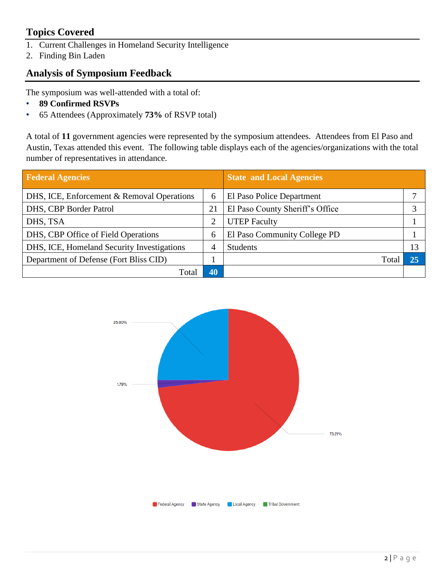# **Topics Covered**

- 1. Current Challenges in Homeland Security Intelligence
- 2. Finding Bin Laden

# **Analysis of Symposium Feedback**

The symposium was well-attended with a total of:

- **89 Confirmed RSVPs**
- 65 Attendees (Approximately **73%** of RSVP total)

A total of **11** government agencies were represented by the symposium attendees. Attendees from El Paso and Austin, Texas attended this event. The following table displays each of the agencies/organizations with the total number of representatives in attendance.

| <b>Federal Agencies</b>                    |    | <b>State and Local Agencies</b> |    |
|--------------------------------------------|----|---------------------------------|----|
| DHS, ICE, Enforcement & Removal Operations | 6  | El Paso Police Department       |    |
| DHS, CBP Border Patrol                     | 21 | El Paso County Sheriff's Office |    |
| DHS, TSA                                   | 2  | <b>UTEP Faculty</b>             |    |
| DHS, CBP Office of Field Operations        | 6  | El Paso Community College PD    |    |
| DHS, ICE, Homeland Security Investigations |    | <b>Students</b>                 | 13 |
| Department of Defense (Fort Bliss CID)     |    | Total                           | 25 |
| Total                                      | 40 |                                 |    |

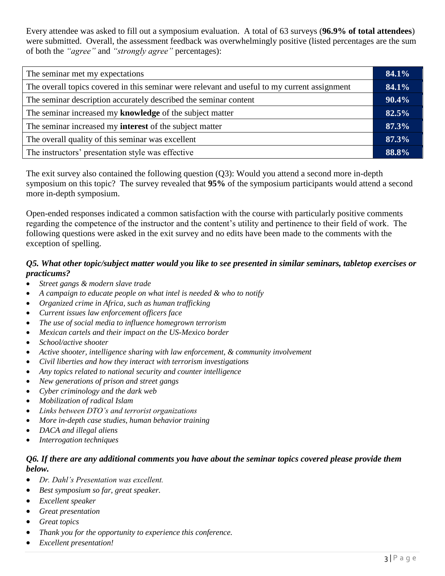Every attendee was asked to fill out a symposium evaluation. A total of 63 surveys (**96.9% of total attendees**) were submitted. Overall, the assessment feedback was overwhelmingly positive (listed percentages are the sum of both the *"agree"* and *"strongly agree"* percentages):

| The seminar met my expectations                                                              |  |
|----------------------------------------------------------------------------------------------|--|
| The overall topics covered in this seminar were relevant and useful to my current assignment |  |
| The seminar description accurately described the seminar content                             |  |
| The seminar increased my knowledge of the subject matter                                     |  |
| The seminar increased my <b>interest</b> of the subject matter                               |  |
| The overall quality of this seminar was excellent                                            |  |
| The instructors' presentation style was effective                                            |  |
|                                                                                              |  |

The exit survey also contained the following question (Q3): Would you attend a second more in-depth symposium on this topic? The survey revealed that **95%** of the symposium participants would attend a second more in-depth symposium.

Open-ended responses indicated a common satisfaction with the course with particularly positive comments regarding the competence of the instructor and the content's utility and pertinence to their field of work. The following questions were asked in the exit survey and no edits have been made to the comments with the exception of spelling.

### *Q5. What other topic/subject matter would you like to see presented in similar seminars, tabletop exercises or practicums?*

- *Street gangs & modern slave trade*
- *A campaign to educate people on what intel is needed & who to notify*
- *Organized crime in Africa, such as human trafficking*
- *Current issues law enforcement officers face*
- *The use of social media to influence homegrown terrorism*
- *Mexican cartels and their impact on the US-Mexico border*
- *School/active shooter*
- *Active shooter, intelligence sharing with law enforcement, & community involvement*
- *Civil liberties and how they interact with terrorism investigations*
- *Any topics related to national security and counter intelligence*
- *New generations of prison and street gangs*
- *Cyber criminology and the dark web*
- *Mobilization of radical Islam*
- *Links between DTO's and terrorist organizations*
- *More in-depth case studies, human behavior training*
- *DACA and illegal aliens*
- *Interrogation techniques*

### *Q6. If there are any additional comments you have about the seminar topics covered please provide them below.*

- *Dr. Dahl's Presentation was excellent.*
- *Best symposium so far, great speaker.*
- *Excellent speaker*
- *Great presentation*
- *Great topics*
- *Thank you for the opportunity to experience this conference.*
- *Excellent presentation!*